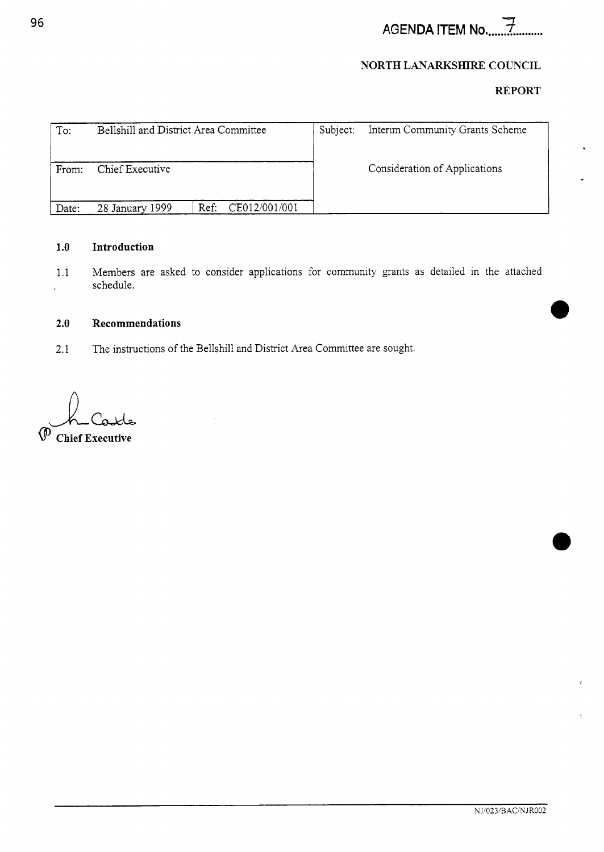# **AGENDA** ITEM No. .... *2* .........

## **NORTH LANARKSHIRE COUNCIL**

# **REPORT**

| To:   | Bellshill and District Area Committee |                       | Subject: | Interim Community Grants Scheme |
|-------|---------------------------------------|-----------------------|----------|---------------------------------|
| From: | Chief Executive                       |                       |          | Consideration of Applications   |
| Date: | 28 January 1999                       | CE012/001/001<br>Ref: |          |                                 |

#### **1.0 Introduction**

1.1 Members are asked to consider applications for community grants as detailed in the attached schedule. l.

## **2.0 Recommendations**

2.1 The instructions of the Bellshill and District Area Committee are sought.

*JU*  **Chief Executive**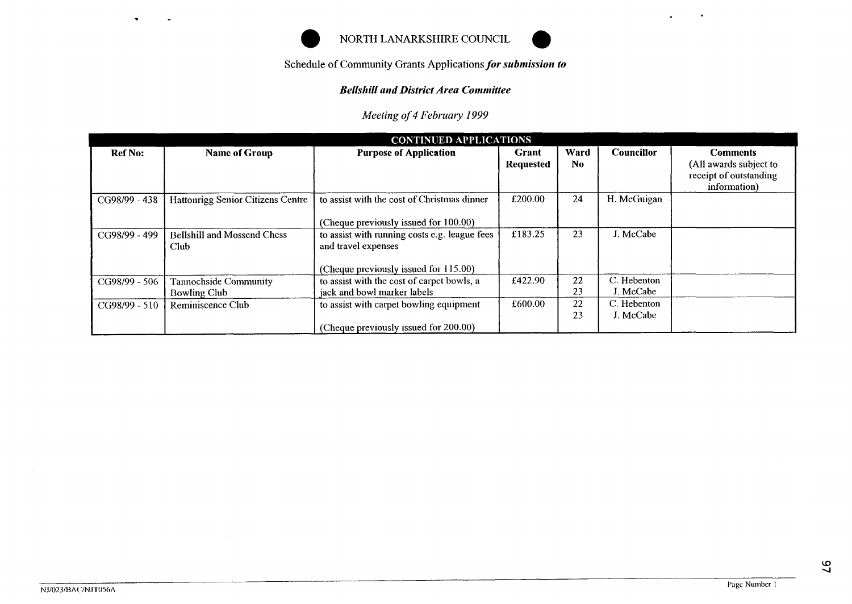

# NORTH LANARKSHIRE COUNCIL *0*



# **Bellshill and District Area Committee**

|                |                                                             | NORTH LANARKSHIRE COUNCIL                                                                                     |                           |                        |                   |                                                                                     |  |  |  |
|----------------|-------------------------------------------------------------|---------------------------------------------------------------------------------------------------------------|---------------------------|------------------------|-------------------|-------------------------------------------------------------------------------------|--|--|--|
|                | Schedule of Community Grants Applications for submission to |                                                                                                               |                           |                        |                   |                                                                                     |  |  |  |
|                |                                                             | <b>Bellshill and District Area Committee</b>                                                                  |                           |                        |                   |                                                                                     |  |  |  |
|                |                                                             | Meeting of 4 February 1999                                                                                    |                           |                        |                   |                                                                                     |  |  |  |
|                |                                                             | <b>CONTINUED APPLICATIONS</b>                                                                                 |                           |                        |                   |                                                                                     |  |  |  |
| <b>Ref No:</b> | <b>Name of Group</b>                                        | <b>Purpose of Application</b>                                                                                 | Grant<br><b>Requested</b> | Ward<br>N <sub>0</sub> | <b>Councillor</b> | <b>Comments</b><br>(All awards subject to<br>receipt of outstanding<br>information) |  |  |  |
| CG98/99 - 438  | Hattonrigg Senior Citizens Centre                           | to assist with the cost of Christmas dinner<br>(Cheque previously issued for 100.00)                          | £200.00                   | 24                     | H. McGuigan       |                                                                                     |  |  |  |
| CG98/99 - 499  | <b>Bellshill and Mossend Chess</b><br>Club                  | to assist with running costs e.g. league fees<br>and travel expenses<br>(Cheque previously issued for 115.00) | £183.25                   | 23                     | J. McCabe         |                                                                                     |  |  |  |
| CG98/99 - 506  | Tannochside Community                                       | to assist with the cost of carpet bowls, a                                                                    | £422.90                   | 22                     | C. Hebenton       |                                                                                     |  |  |  |
|                | <b>Bowling Club</b>                                         | jack and bowl marker labels                                                                                   |                           | 23                     | J. McCabe         |                                                                                     |  |  |  |
| CG98/99 - 510  | Reminiscence Club                                           | to assist with carpet bowling equipment                                                                       | £600.00                   | 22                     | C. Hebenton       |                                                                                     |  |  |  |
|                |                                                             | (Cheque previously issued for 200.00)                                                                         |                           | 23                     | J. McCabe         |                                                                                     |  |  |  |

 $\sim$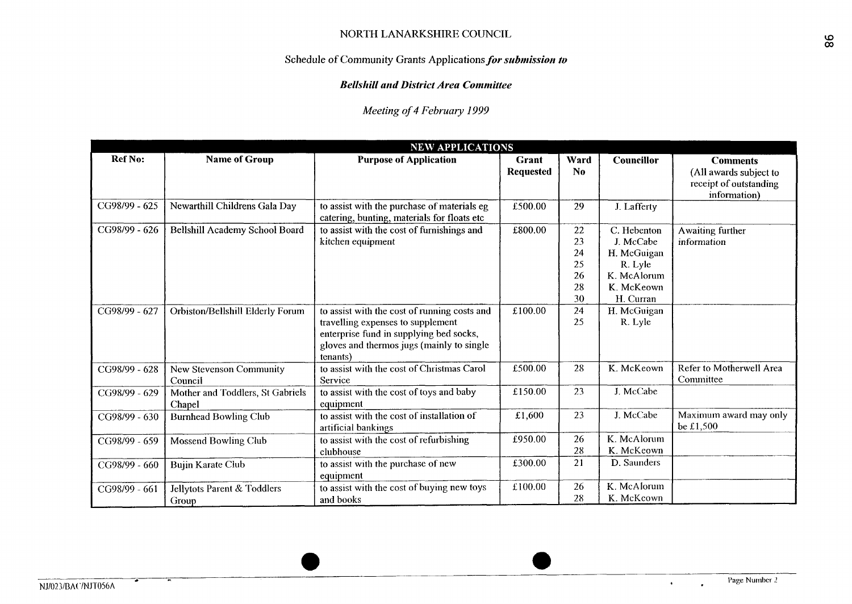# Schedule **of** Community Grants Applications *for submission to*

#### **Bellshill and District Area Committee**

# *Meeting of 4 February I999*

| <b>NEW APPLICATIONS</b> |                                            |                                                                                                                                                                                       |                           |                                        |                                                                                              |                                                                                     |  |  |
|-------------------------|--------------------------------------------|---------------------------------------------------------------------------------------------------------------------------------------------------------------------------------------|---------------------------|----------------------------------------|----------------------------------------------------------------------------------------------|-------------------------------------------------------------------------------------|--|--|
| <b>Ref No:</b>          | <b>Name of Group</b>                       | <b>Purpose of Application</b>                                                                                                                                                         | Grant<br><b>Requested</b> | Ward<br>No                             | <b>Councillor</b>                                                                            | <b>Comments</b><br>(All awards subject to<br>receipt of outstanding<br>information) |  |  |
| CG98/99 - 625           | Newarthill Childrens Gala Day              | to assist with the purchase of materials eg<br>catering, bunting, materials for floats etc                                                                                            | £500.00                   | 29                                     | J. Lafferty                                                                                  |                                                                                     |  |  |
| CG98/99 - 626           | <b>Bellshill Academy School Board</b>      | to assist with the cost of furnishings and<br>kitchen equipment                                                                                                                       | £800.00                   | 22<br>23<br>24<br>25<br>26<br>28<br>30 | C. Hebenton<br>J. McCabe<br>H. McGuigan<br>R. Lyle<br>K. McAlorum<br>K. McKeown<br>H. Curran | Awaiting further<br>information                                                     |  |  |
| CG98/99 - 627           | Orbiston/Bellshill Elderly Forum           | to assist with the cost of running costs and<br>travelling expenses to supplement<br>enterprise fund in supplying bed socks,<br>gloves and thermos jugs (mainly to single<br>tenants) | £100.00                   | 24<br>25                               | H. McGuigan<br>R. Lyle                                                                       |                                                                                     |  |  |
| CG98/99 - 628           | New Stevenson Community<br>Conneil         | to assist with the cost of Christmas Carol<br>Service                                                                                                                                 | £500.00                   | 28                                     | K. McKeown                                                                                   | Refer to Motherwell Area<br>Committee                                               |  |  |
| CG98/99 - 629           | Mother and Toddlers, St Gabriels<br>Chapel | to assist with the cost of toys and baby<br>equipment                                                                                                                                 | £150.00                   | 23                                     | J. McCabe                                                                                    |                                                                                     |  |  |
| CG98/99 - 630           | <b>Burnhead Bowling Club</b>               | to assist with the cost of installation of<br>artificial bankings                                                                                                                     | £1,600                    | 23                                     | J. McCabe                                                                                    | Maximum award may only<br>be £1,500                                                 |  |  |
| CG98/99 - 659           | <b>Mossend Bowling Club</b>                | to assist with the cost of refurbishing<br>clubhouse                                                                                                                                  | £950.00                   | 26<br>28                               | K. McAlorum<br>K. McKeown                                                                    |                                                                                     |  |  |
| CG98/99 - 660           | <b>Bujin Karate Club</b>                   | to assist with the purchase of new<br>equipment                                                                                                                                       | £300.00                   | 21                                     | D. Saunders                                                                                  |                                                                                     |  |  |
| CG98/99 - 661           | Jellytots Parent & Toddlers<br>Group       | to assist with the cost of buying new toys<br>and books                                                                                                                               | £100.00                   | 26<br>28                               | K. McAlorum<br>K. McKcown                                                                    |                                                                                     |  |  |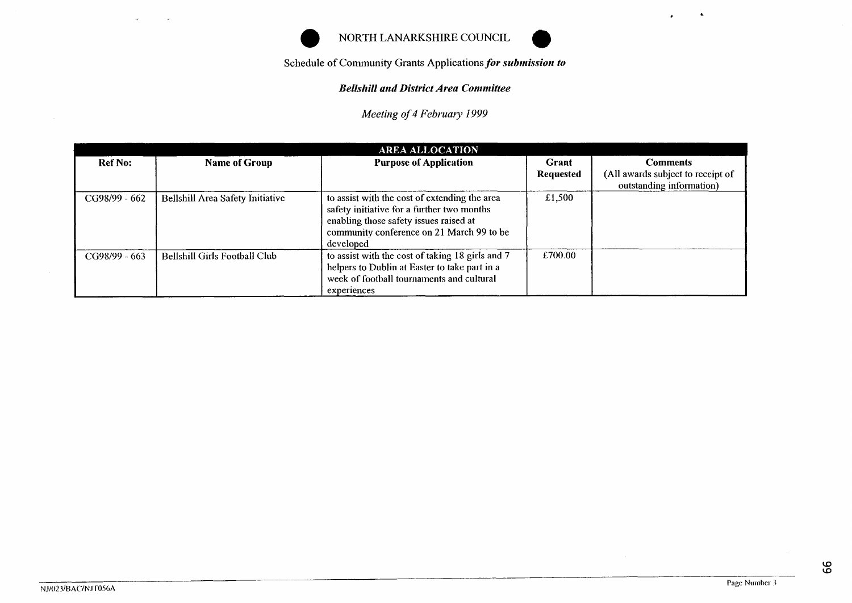



## *Bellsliill arid District Area Conimittee*

|                |                                         | NORTH LANARKSHIRE COUNCIL<br>Schedule of Community Grants Applications for submission to<br><b>Bellshill and District Area Committee</b>                                                        |                                  |                                                                                  |  |  |  |
|----------------|-----------------------------------------|-------------------------------------------------------------------------------------------------------------------------------------------------------------------------------------------------|----------------------------------|----------------------------------------------------------------------------------|--|--|--|
|                | Meeting of 4 February 1999              |                                                                                                                                                                                                 |                                  |                                                                                  |  |  |  |
|                |                                         | <b>AREA ALLOCATION</b>                                                                                                                                                                          |                                  |                                                                                  |  |  |  |
| <b>Ref No:</b> | <b>Name of Group</b>                    | <b>Purpose of Application</b>                                                                                                                                                                   | <b>Grant</b><br><b>Requested</b> | <b>Comments</b><br>(All awards subject to receipt of<br>outstanding information) |  |  |  |
| CG98/99 - 662  | <b>Bellshill Area Safety Initiative</b> | to assist with the cost of extending the area<br>safety initiative for a further two months<br>enabling those safety issues raised at<br>community conference on 21 March 99 to be<br>developed | £1,500                           |                                                                                  |  |  |  |
| CG98/99 - 663  | <b>Bellshill Girls Football Club</b>    | to assist with the cost of taking 18 girls and 7<br>helpers to Dublin at Easter to take part in a<br>week of football tournaments and cultural<br>experiences                                   | £700.00                          |                                                                                  |  |  |  |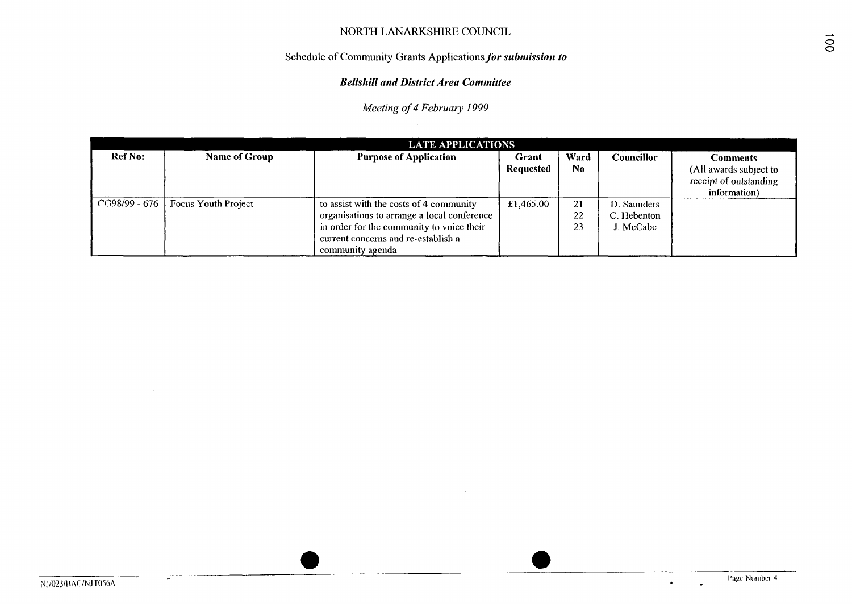# **Schedule** of Community **Grants Applicationsfor** *subniissioii to*

#### *Bellshill and District Area Coniniittee*

*Meeting of 4 February I999* 

|                   | <b>LATE APPLICATIONS</b> |                                                                                                                                                                                                |                           |                        |                                         |                                                                                     |  |  |  |
|-------------------|--------------------------|------------------------------------------------------------------------------------------------------------------------------------------------------------------------------------------------|---------------------------|------------------------|-----------------------------------------|-------------------------------------------------------------------------------------|--|--|--|
| <b>Ref No:</b>    | <b>Name of Group</b>     | <b>Purpose of Application</b>                                                                                                                                                                  | Grant<br><b>Requested</b> | Ward<br>N <sub>0</sub> | Councillor                              | <b>Comments</b><br>(All awards subject to<br>receipt of outstanding<br>information) |  |  |  |
| - CG98/99 - 676 L | Focus Youth Project      | to assist with the costs of 4 community<br>organisations to arrange a local conference<br>in order for the community to voice their<br>current concerns and re-establish a<br>community agenda | £1,465.00                 | 21<br>22<br>23         | D. Saunders<br>C. Hebenton<br>J. McCabe |                                                                                     |  |  |  |

*0 0*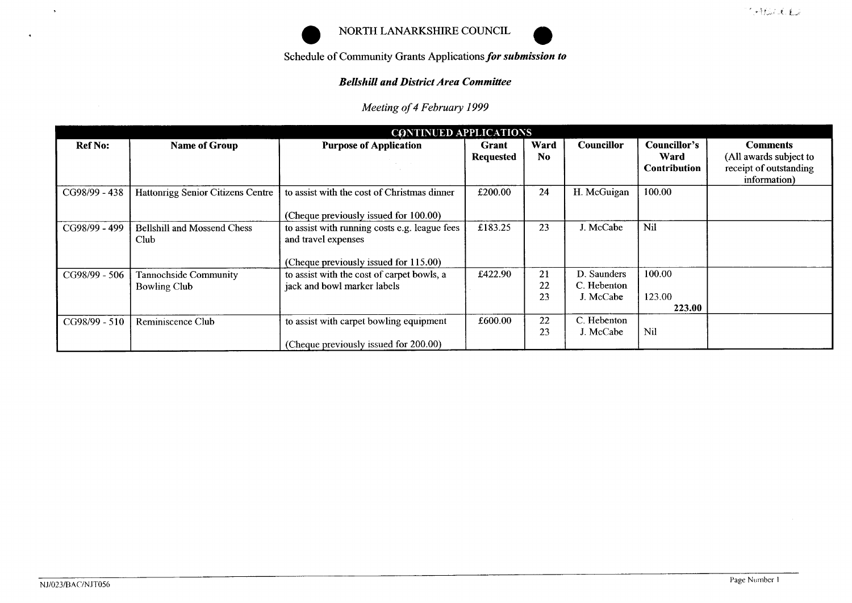

# Bellshill and District Area Committee

|                            |                                              |                                                                                                               |                                  |                        |                                         |                                                    | 气味なにむねる                                                                             |
|----------------------------|----------------------------------------------|---------------------------------------------------------------------------------------------------------------|----------------------------------|------------------------|-----------------------------------------|----------------------------------------------------|-------------------------------------------------------------------------------------|
|                            |                                              | NORTH LANARKSHIRE COUNCIL                                                                                     |                                  |                        |                                         |                                                    |                                                                                     |
|                            |                                              | Schedule of Community Grants Applications for submission to                                                   |                                  |                        |                                         |                                                    |                                                                                     |
|                            |                                              | <b>Bellshill and District Area Committee</b>                                                                  |                                  |                        |                                         |                                                    |                                                                                     |
| Meeting of 4 February 1999 |                                              |                                                                                                               |                                  |                        |                                         |                                                    |                                                                                     |
|                            |                                              | <b>CONTINUED APPLICATIONS</b>                                                                                 |                                  |                        |                                         |                                                    |                                                                                     |
| <b>Ref No:</b>             | <b>Name of Group</b>                         | <b>Purpose of Application</b>                                                                                 | <b>Grant</b><br><b>Requested</b> | Ward<br>N <sub>0</sub> | Councillor                              | <b>Councillor's</b><br>Ward<br><b>Contribution</b> | <b>Comments</b><br>(All awards subject to<br>receipt of outstanding<br>information) |
| CG98/99 - 438              | Hattonrigg Senior Citizens Centre            | to assist with the cost of Christmas dinner<br>(Cheque previously issued for 100.00)                          | £200.00                          | 24                     | H. McGuigan                             | 100.00                                             |                                                                                     |
| CG98/99 - 499              | <b>Bellshill and Mossend Chess</b><br>Club   | to assist with running costs e.g. league fees<br>and travel expenses<br>(Cheque previously issued for 115.00) | £183.25                          | 23                     | J. McCabe                               | Nil                                                |                                                                                     |
| CG98/99 - 506              | Tannochside Community<br><b>Bowling Club</b> | to assist with the cost of carpet bowls, a<br>jack and bowl marker labels                                     | £422.90                          | 21<br>22<br>23         | D. Saunders<br>C. Hebenton<br>J. McCabe | 100.00<br>123.00<br>223.00                         |                                                                                     |
| CG98/99 - 510              | Reminiscence Club                            | to assist with carpet bowling equipment<br>(Cheque previously issued for 200.00)                              | £600.00                          | 22<br>23               | C. Hebenton<br>J. McCabe                | Nil                                                |                                                                                     |

 $\sim$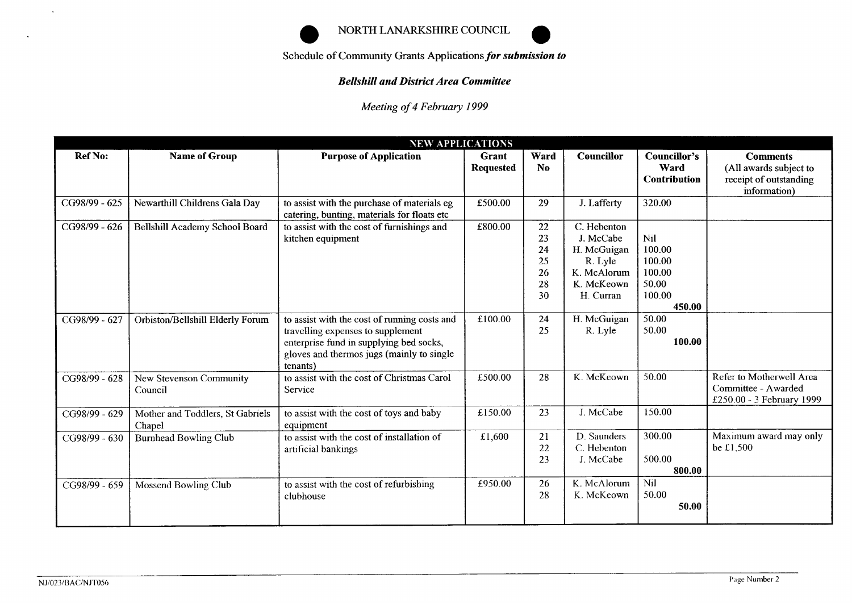



## **Bellshill and District Area Committee**

*Meeting of 4 February 1999* 

| <b>NEW APPLICATIONS</b> |                                            |                                                                                                                                                                                       |                           |                                        |                                                                                              |                                                                       |                                                                                     |  |
|-------------------------|--------------------------------------------|---------------------------------------------------------------------------------------------------------------------------------------------------------------------------------------|---------------------------|----------------------------------------|----------------------------------------------------------------------------------------------|-----------------------------------------------------------------------|-------------------------------------------------------------------------------------|--|
| <b>Ref No:</b>          | <b>Name of Group</b>                       | <b>Purpose of Application</b>                                                                                                                                                         | Grant<br><b>Requested</b> | Ward<br>No.                            | <b>Councillor</b>                                                                            | Councillor's<br>Ward<br><b>Contribution</b>                           | <b>Comments</b><br>(All awards subject to<br>receipt of outstanding<br>information) |  |
| CG98/99 - 625           | Newarthill Childrens Gala Day              | to assist with the purchase of materials eg<br>catering, bunting, materials for floats etc                                                                                            | £500.00                   | 29                                     | J. Lafferty                                                                                  | 320.00                                                                |                                                                                     |  |
| CG98/99 - 626           | Bellshill Academy School Board             | to assist with the cost of furnishings and<br>kitchen equipment                                                                                                                       | £800.00                   | 22<br>23<br>24<br>25<br>26<br>28<br>30 | C. Hebenton<br>J. McCabe<br>H. McGuigan<br>R. Lyle<br>K. McAlorum<br>K. McKeown<br>H. Curran | <b>Nil</b><br>100.00<br>100.00<br>100.00<br>50.00<br>100.00<br>450.00 |                                                                                     |  |
| CG98/99 - 627           | Orbiston/Bellshill Elderly Forum           | to assist with the cost of running costs and<br>travelling expenses to supplement<br>enterprise fund in supplying bed socks,<br>gloves and thermos jugs (mainly to single<br>tenants) | £100.00                   | 24<br>25                               | H. McGuigan<br>R. Lyle                                                                       | 50.00<br>50.00<br>100.00                                              |                                                                                     |  |
| CG98/99 - 628           | New Stevenson Community<br>Council         | to assist with the cost of Christmas Carol<br>Service                                                                                                                                 | £500.00                   | 28                                     | K. McKeown                                                                                   | 50.00                                                                 | Refer to Motherwell Area<br>Committee - Awarded<br>£250.00 - 3 February 1999        |  |
| CG98/99 - 629           | Mother and Toddlers, St Gabriels<br>Chapel | to assist with the cost of toys and baby<br>equipment                                                                                                                                 | £150.00                   | 23                                     | J. McCabe                                                                                    | 150.00                                                                |                                                                                     |  |
| CG98/99 - 630           | <b>Burnhead Bowling Club</b>               | to assist with the cost of installation of<br>artificial bankings                                                                                                                     | £1,600                    | 21<br>22<br>23                         | D. Saunders<br>C. Hebenton<br>J. McCabe                                                      | 300.00<br>500.00<br>800.00                                            | Maximum award may only<br>be £1,500                                                 |  |
| CG98/99 - 659           | Mossend Bowling Club                       | to assist with the cost of refurbishing<br>clubhouse                                                                                                                                  | £950.00                   | 26<br>28                               | K. McAlorum<br>K. McKeown                                                                    | Nil<br>50.00<br>50.00                                                 |                                                                                     |  |

 $\mathcal{A}^{\pm}$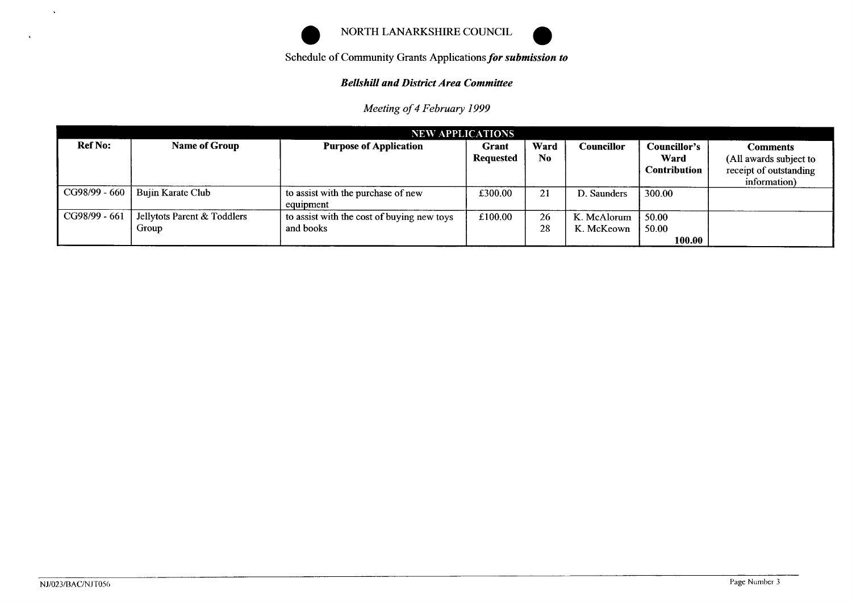

Schedule of Community Grants Applications *for submission to* 

# **Bellshill and District Area Committee**

*Meeting of 4 February 1999* 

| <b>NEW APPLICATIONS</b> |                                      |                                                         |                           |            |                           |                                             |                                                                              |  |
|-------------------------|--------------------------------------|---------------------------------------------------------|---------------------------|------------|---------------------------|---------------------------------------------|------------------------------------------------------------------------------|--|
| <b>Ref No:</b>          | <b>Name of Group</b>                 | <b>Purpose of Application</b>                           | Grant<br><b>Requested</b> | Ward<br>No | Councillor                | Councillor's<br>Ward<br><b>Contribution</b> | Comments<br>(All awards subject to<br>receipt of outstanding<br>information) |  |
| CG98/99 - 660           | Bujin Karate Club                    | to assist with the purchase of new<br>equipment         | £300.00                   | 21         | D. Saunders               | 300.00                                      |                                                                              |  |
| CG98/99 - 661           | Jellytots Parent & Toddlers<br>Group | to assist with the cost of buying new toys<br>and books | £100.00                   | 26<br>28   | K. McAlorum<br>K. McKeown | 50.00<br>50.00<br>100.00                    |                                                                              |  |

 $\Delta$ 

 $\ddot{\phantom{a}}$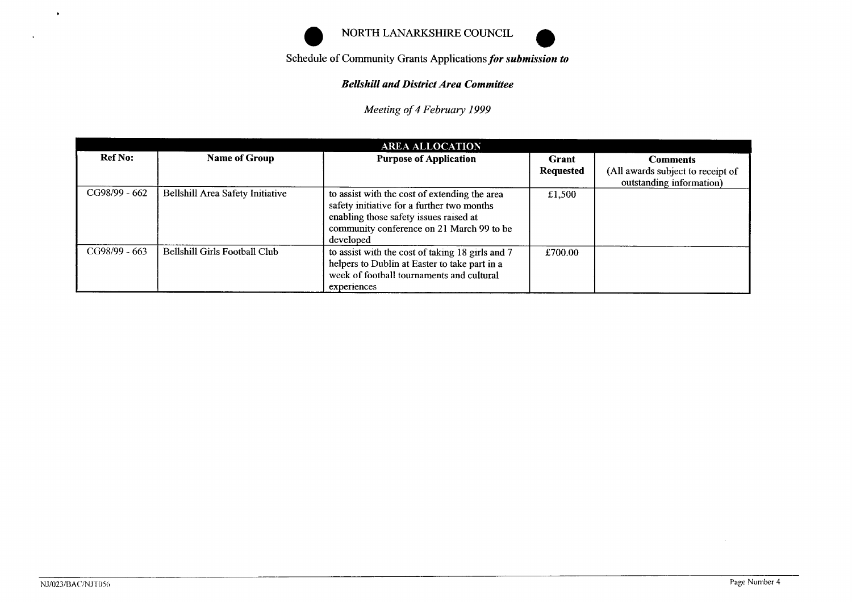

#### *Bellshill and District Area Committee*

|                |                                  | NORTH LANARKSHIRE COUNCIL                                                                                                             |                  |                                                               |  |  |  |
|----------------|----------------------------------|---------------------------------------------------------------------------------------------------------------------------------------|------------------|---------------------------------------------------------------|--|--|--|
|                |                                  | Schedule of Community Grants Applications for submission to                                                                           |                  |                                                               |  |  |  |
|                |                                  | <b>Bellshill and District Area Committee</b>                                                                                          |                  |                                                               |  |  |  |
|                |                                  | Meeting of 4 February 1999                                                                                                            |                  |                                                               |  |  |  |
|                |                                  |                                                                                                                                       |                  |                                                               |  |  |  |
| <b>Ref No:</b> | <b>Name of Group</b>             | <b>AREA ALLOCATION</b><br><b>Purpose of Application</b>                                                                               | Grant            | <b>Comments</b>                                               |  |  |  |
|                |                                  |                                                                                                                                       | <b>Requested</b> | (All awards subject to receipt of<br>outstanding information) |  |  |  |
| CG98/99 - 662  | Bellshill Area Safety Initiative | to assist with the cost of extending the area<br>safety initiative for a further two months<br>enabling those safety issues raised at | £1,500           |                                                               |  |  |  |
|                |                                  | community conference on 21 March 99 to be<br>developed                                                                                |                  |                                                               |  |  |  |

 $\mathbf{v}$ 

 $\bar{\mathbf{A}}$ 

 $\sim$